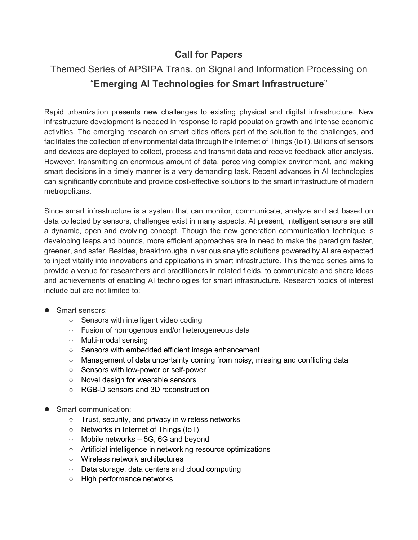## **Call for Papers**

## Themed Series of APSIPA Trans. on Signal and Information Processing on "**Emerging AI Technologies for Smart Infrastructure**"

Rapid urbanization presents new challenges to existing physical and digital infrastructure. New infrastructure development is needed in response to rapid population growth and intense economic activities. The emerging research on smart cities offers part of the solution to the challenges, and facilitates the collection of environmental data through the Internet of Things (IoT). Billions of sensors and devices are deployed to collect, process and transmit data and receive feedback after analysis. However, transmitting an enormous amount of data, perceiving complex environment, and making smart decisions in a timely manner is a very demanding task. Recent advances in AI technologies can significantly contribute and provide cost-effective solutions to the smart infrastructure of modern metropolitans.

Since smart infrastructure is a system that can monitor, communicate, analyze and act based on data collected by sensors, challenges exist in many aspects. At present, intelligent sensors are still a dynamic, open and evolving concept. Though the new generation communication technique is developing leaps and bounds, more efficient approaches are in need to make the paradigm faster, greener, and safer. Besides, breakthroughs in various analytic solutions powered by AI are expected to inject vitality into innovations and applications in smart infrastructure. This themed series aims to provide a venue for researchers and practitioners in related fields, to communicate and share ideas and achievements of enabling AI technologies for smart infrastructure. Research topics of interest include but are not limited to:

- **Smart sensors:** 
	- Sensors with intelligent video coding
	- Fusion of homogenous and/or heterogeneous data
	- Multi-modal sensing
	- Sensors with embedded efficient image enhancement
	- Management of data uncertainty coming from noisy, missing and conflicting data
	- Sensors with low-power or self-power
	- Novel design for wearable sensors
	- RGB-D sensors and 3D reconstruction
- Smart communication:
	- Trust, security, and privacy in wireless networks
	- Networks in Internet of Things (IoT)
	- $\circ$  Mobile networks  $-5G$ , 6G and beyond
	- Artificial intelligence in networking resource optimizations
	- Wireless network architectures
	- Data storage, data centers and cloud computing
	- High performance networks